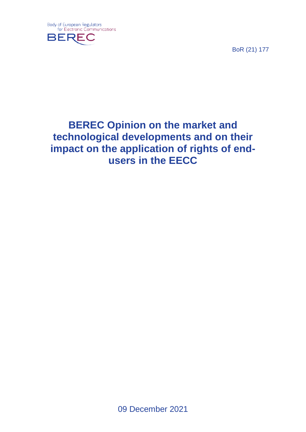

BoR (21) 177

# **BEREC Opinion on the market and technological developments and on their impact on the application of rights of endusers in the EECC**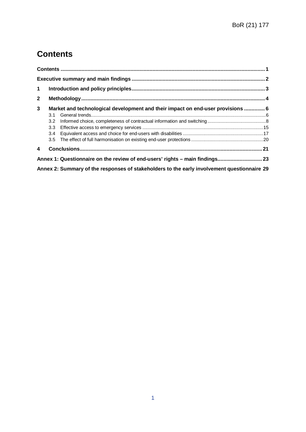## <span id="page-1-0"></span>**Contents**

| $\mathbf 1$  |                                                                                 |                                                                                             |  |  |  |  |
|--------------|---------------------------------------------------------------------------------|---------------------------------------------------------------------------------------------|--|--|--|--|
| $\mathbf{2}$ |                                                                                 |                                                                                             |  |  |  |  |
| 3            | Market and technological development and their impact on end-user provisions  6 |                                                                                             |  |  |  |  |
|              | 3.1                                                                             |                                                                                             |  |  |  |  |
|              | 3.2                                                                             |                                                                                             |  |  |  |  |
|              | 3.3 <sub>1</sub>                                                                |                                                                                             |  |  |  |  |
|              | $3.4^{\circ}$                                                                   |                                                                                             |  |  |  |  |
|              | 3.5                                                                             |                                                                                             |  |  |  |  |
| 4            |                                                                                 |                                                                                             |  |  |  |  |
|              |                                                                                 | Annex 1: Questionnaire on the review of end-users' rights - main findings 23                |  |  |  |  |
|              |                                                                                 | Annex 2: Summary of the responses of stakeholders to the early involvement questionnaire 29 |  |  |  |  |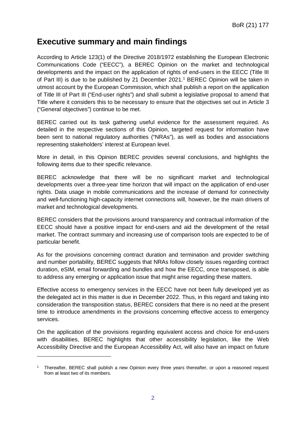## <span id="page-2-0"></span>**Executive summary and main findings**

According to Article 123(1) of the Directive 2018/1972 establishing the European Electronic Communications Code ("EECC"), a BEREC Opinion on the market and technological developments and the impact on the application of rights of end-users in the EECC (Title III of Part III) is due to be published by 21 December 2021. [1](#page-2-1) BEREC Opinion will be taken in utmost account by the European Commission, which shall publish a report on the application of Title III of Part III ("End-user rights") and shall submit a legislative proposal to amend that Title where it considers this to be necessary to ensure that the objectives set out in Article 3 ("General objectives") continue to be met.

BEREC carried out its task gathering useful evidence for the assessment required. As detailed in the respective sections of this Opinion, targeted request for information have been sent to national regulatory authorities ("NRAs"), as well as bodies and associations representing stakeholders' interest at European level.

More in detail, in this Opinion BEREC provides several conclusions, and highlights the following items due to their specific relevance.

BEREC acknowledge that there will be no significant market and technological developments over a three-year time horizon that will impact on the application of end-user rights. Data usage in mobile communications and the increase of demand for connectivity and well-functioning high-capacity internet connections will, however, be the main drivers of market and technological developments.

BEREC considers that the provisions around transparency and contractual information of the EECC should have a positive impact for end-users and aid the development of the retail market. The contract summary and increasing use of comparison tools are expected to be of particular benefit.

As for the provisions concerning contract duration and termination and provider switching and number portability, BEREC suggests that NRAs follow closely issues regarding contract duration, eSIM, email forwarding and bundles and how the EECC, once transposed, is able to address any emerging or application issue that might arise regarding these matters.

Effective access to emergency services in the EECC have not been fully developed yet as the delegated act in this matter is due in December 2022. Thus, in this regard and taking into consideration the transposition status, BEREC considers that there is no need at the present time to introduce amendments in the provisions concerning effective access to emergency services.

On the application of the provisions regarding equivalent access and choice for end-users with disabilities, BEREC highlights that other accessibility legislation, like the Web Accessibility Directive and the European Accessibility Act, will also have an impact on future

<span id="page-2-1"></span><sup>1</sup> Thereafter, BEREC shall publish a new Opinion every three years thereafter, or upon a reasoned request from at least two of its members.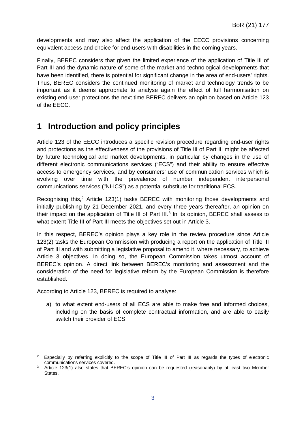developments and may also affect the application of the EECC provisions concerning equivalent access and choice for end-users with disabilities in the coming years.

Finally, BEREC considers that given the limited experience of the application of Title III of Part III and the dynamic nature of some of the market and technological developments that have been identified, there is potential for significant change in the area of end-users' rights. Thus, BEREC considers the continued monitoring of market and technology trends to be important as it deems appropriate to analyse again the effect of full harmonisation on existing end-user protections the next time BEREC delivers an opinion based on Article 123 of the EECC.

## <span id="page-3-0"></span>**1 Introduction and policy principles**

Article 123 of the EECC introduces a specific revision procedure regarding end-user rights and protections as the effectiveness of the provisions of Title III of Part III might be affected by future technological and market developments, in particular by changes in the use of different electronic communications services ("ECS") and their ability to ensure effective access to emergency services, and by consumers' use of communication services which is evolving over time with the prevalence of number independent interpersonal communications services ("NI-ICS") as a potential substitute for traditional ECS.

Recognising this, [2](#page-3-1) Article 123(1) tasks BEREC with monitoring those developments and initially publishing by 21 December 2021, and every three years thereafter, an opinion on their impact on the application of Title III of Part III.<sup>[3](#page-3-2)</sup> In its opinion, BEREC shall assess to what extent Title III of Part III meets the objectives set out in Article 3.

In this respect, BEREC's opinion plays a key role in the review procedure since Article 123(2) tasks the European Commission with producing a report on the application of Title III of Part III and with submitting a legislative proposal to amend it, where necessary, to achieve Article 3 objectives. In doing so, the European Commission takes utmost account of BEREC's opinion. A direct link between BEREC's monitoring and assessment and the consideration of the need for legislative reform by the European Commission is therefore established.

According to Article 123, BEREC is required to analyse:

-

a) to what extent end-users of all ECS are able to make free and informed choices, including on the basis of complete contractual information, and are able to easily switch their provider of ECS;

<span id="page-3-1"></span><sup>&</sup>lt;sup>2</sup> Especially by referring explicitly to the scope of Title III of Part III as regards the types of electronic communications services covered.

<span id="page-3-2"></span><sup>&</sup>lt;sup>3</sup> Article 123(1) also states that BEREC's opinion can be requested (reasonably) by at least two Member States.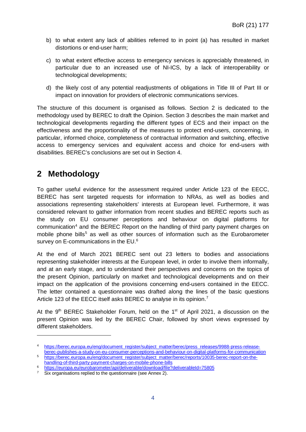- b) to what extent any lack of abilities referred to in point (a) has resulted in market distortions or end-user harm;
- c) to what extent effective access to emergency services is appreciably threatened, in particular due to an increased use of NI-ICS, by a lack of interoperability or technological developments;
- d) the likely cost of any potential readjustments of obligations in Title III of Part III or impact on innovation for providers of electronic communications services.

The structure of this document is organised as follows. Section 2 is dedicated to the methodology used by BEREC to draft the Opinion. Section 3 describes the main market and technological developments regarding the different types of ECS and their impact on the effectiveness and the proportionality of the measures to protect end-users, concerning, in particular, informed choice, completeness of contractual information and switching, effective access to emergency services and equivalent access and choice for end-users with disabilities. BEREC's conclusions are set out in Section 4.

## <span id="page-4-0"></span>**2 Methodology**

-

To gather useful evidence for the assessment required under Article 123 of the EECC, BEREC has sent targeted requests for information to NRAs, as well as bodies and associations representing stakeholders' interests at European level. Furthermore, it was considered relevant to gather information from recent studies and BEREC reports such as the study on EU consumer perceptions and behaviour on digital platforms for communication<sup>4</sup> and the BEREC Report on the handling of third party payment charges on mobile phone bills<sup>[5](#page-4-2)</sup> as well as other sources of information such as the Eurobarometer survey on E-communications in the EU.<sup>[6](#page-4-3)</sup>

At the end of March 2021 BEREC sent out 23 letters to bodies and associations representing stakeholder interests at the European level, in order to involve them informally, and at an early stage, and to understand their perspectives and concerns on the topics of the present Opinion, particularly on market and technological developments and on their impact on the application of the provisions concerning end-users contained in the EECC. The letter contained a questionnaire was drafted along the lines of the basic questions Article 123 of the EECC itself asks BEREC to analyse in its opinion.<sup>[7](#page-4-4)</sup>

At the 9<sup>th</sup> BEREC Stakeholder Forum, held on the 1<sup>st</sup> of April 2021, a discussion on the present Opinion was led by the BEREC Chair, followed by short views expressed by different stakeholders.

<span id="page-4-1"></span><sup>4</sup> [https://berec.europa.eu/eng/document\\_register/subject\\_matter/berec/press\\_releases/9988-press-release](https://berec.europa.eu/eng/document_register/subject_matter/berec/press_releases/9988-press-release-berec-publishes-a-study-on-eu-consumer-perceptions-and-behaviour-on-digital-platforms-for-communication)[berec-publishes-a-study-on-eu-consumer-perceptions-and-behaviour-on-digital-platforms-for-communication](https://berec.europa.eu/eng/document_register/subject_matter/berec/press_releases/9988-press-release-berec-publishes-a-study-on-eu-consumer-perceptions-and-behaviour-on-digital-platforms-for-communication)

<span id="page-4-2"></span><sup>5</sup> [https://berec.europa.eu/eng/document\\_register/subject\\_matter/berec/reports/10035-berec-report-on-the](https://berec.europa.eu/eng/document_register/subject_matter/berec/reports/10035-berec-report-on-the-handling-of-third-party-payment-charges-on-mobile-phone-bills)[handling-of-third-party-payment-charges-on-mobile-phone-bills](https://berec.europa.eu/eng/document_register/subject_matter/berec/reports/10035-berec-report-on-the-handling-of-third-party-payment-charges-on-mobile-phone-bills)

<span id="page-4-3"></span><sup>6</sup> <https://europa.eu/eurobarometer/api/deliverable/download/file?deliverableId=75805>

<span id="page-4-4"></span>Six organisations replied to the questionnaire (see Annex 2).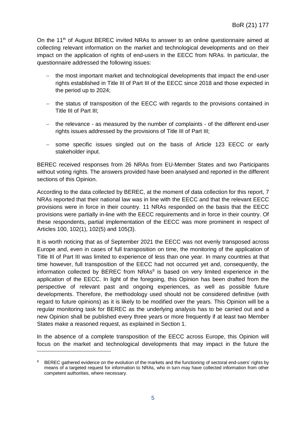On the 11<sup>th</sup> of August BEREC invited NRAs to answer to an online questionnaire aimed at collecting relevant information on the market and technological developments and on their impact on the application of rights of end-users in the EECC from NRAs. In particular, the questionnaire addressed the following issues:

- − the most important market and technological developments that impact the end-user rights established in Title III of Part III of the EECC since 2018 and those expected in the period up to 2024;
- − the status of transposition of the EECC with regards to the provisions contained in Title III of Part III;
- − the relevance as measured by the number of complaints of the different end-user rights issues addressed by the provisions of Title III of Part III;
- − some specific issues singled out on the basis of Article 123 EECC or early stakeholder input.

BEREC received responses from 26 NRAs from EU-Member States and two Participants without voting rights. The answers provided have been analysed and reported in the different sections of this Opinion.

According to the data collected by BEREC, at the moment of data collection for this report, 7 NRAs reported that their national law was in line with the EECC and that the relevant EECC provisions were in force in their country. 11 NRAs responded on the basis that the EECC provisions were partially in-line with the EECC requirements and in force in their country. Of these respondents, partial implementation of the EECC was more prominent in respect of Articles 100, 102(1), 102(5) and 105(3).

It is worth noticing that as of September 2021 the EECC was not evenly transposed across Europe and, even in cases of full transposition on time, the monitoring of the application of Title III of Part III was limited to experience of less than one year. In many countries at that time however, full transposition of the EECC had not occurred yet and, consequently, the information collected by BEREC from NRAs<sup>[8](#page-5-0)</sup> is based on very limited experience in the application of the EECC. In light of the foregoing, this Opinion has been drafted from the perspective of relevant past and ongoing experiences, as well as possible future developments. Therefore, the methodology used should not be considered definitive (with regard to future opinions) as it is likely to be modified over the years. This Opinion will be a regular monitoring task for BEREC as the underlying analysis has to be carried out and a new Opinion shall be published every three years or more frequently if at least two Member States make a reasoned request, as explained in Section 1.

In the absence of a complete transposition of the EECC across Europe, this Opinion will focus on the market and technological developments that may impact in the future the

<span id="page-5-0"></span>BEREC gathered evidence on the evolution of the markets and the functioning of sectoral end-users' rights by means of a targeted request for information to NRAs, who in turn may have collected information from other competent authorities, where necessary.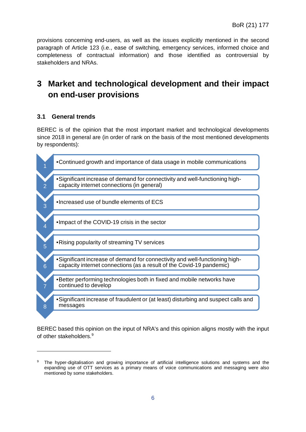provisions concerning end-users, as well as the issues explicitly mentioned in the second paragraph of Article 123 (i.e., ease of switching, emergency services, informed choice and completeness of contractual information) and those identified as controversial by stakeholders and NRAs.

## <span id="page-6-0"></span>**3 Market and technological development and their impact on end-user provisions**

## <span id="page-6-1"></span>**3.1 General trends**

-

BEREC is of the opinion that the most important market and technological developments since 2018 in general are (in order of rank on the basis of the most mentioned developments by respondents):



BEREC based this opinion on the input of NRA's and this opinion aligns mostly with the input of other stakeholders[.9](#page-6-2)

<span id="page-6-2"></span>The hyper-digitalisation and growing importance of artificial intelligence solutions and systems and the expanding use of OTT services as a primary means of voice communications and messaging were also mentioned by some stakeholders.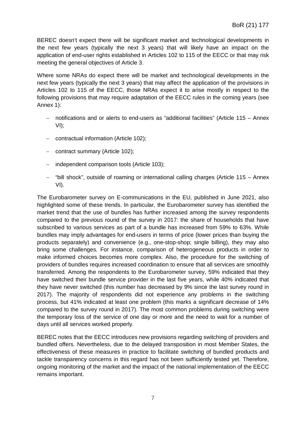BEREC doesn't expect there will be significant market and technological developments in the next few years (typically the next 3 years) that will likely have an impact on the application of end-user rights established in Articles 102 to 115 of the EECC or that may risk meeting the general objectives of Article 3.

Where some NRAs do expect there will be market and technological developments in the next few years (typically the next 3 years) that may affect the application of the provisions in Articles 102 to 115 of the EECC, those NRAs expect it to arise mostly in respect to the following provisions that may require adaptation of the EECC rules in the coming years (see Annex 1):

- − notifications and or alerts to end-users as "additional facilities" (Article 115 Annex VI);
- − contractual information (Article 102);
- − contract summary (Article 102);
- − independent comparison tools (Article 103);
- − "bill shock", outside of roaming or international calling charges (Article 115 Annex VI).

The Eurobarometer survey on E-communications in the EU, published in June 2021, also highlighted some of these trends. In particular, the Eurobarometer survey has identified the market trend that the use of bundles has further increased among the survey respondents compared to the previous round of the survey in 2017: the share of households that have subscribed to various services as part of a bundle has increased from 59% to 63%. While bundles may imply advantages for end-users in terms of price (lower prices than buying the products separately) and convenience (e.g., one-stop-shop; single billing), they may also bring some challenges. For instance, comparison of heterogeneous products in order to make informed choices becomes more complex. Also, the procedure for the switching of providers of bundles requires increased coordination to ensure that all services are smoothly transferred. Among the respondents to the Eurobarometer survey, 59% indicated that they have switched their bundle service provider in the last five years, while 40% indicated that they have never switched (this number has decreased by 9% since the last survey round in 2017). The majority of respondents did not experience any problems in the switching process, but 41% indicated at least one problem (this marks a significant decrease of 14% compared to the survey round in 2017). The most common problems during switching were the temporary loss of the service of one day or more and the need to wait for a number of days until all services worked properly.

BEREC notes that the EECC introduces new provisions regarding switching of providers and bundled offers. Nevertheless, due to the delayed transposition in most Member States, the effectiveness of these measures in practice to facilitate switching of bundled products and tackle transparency concerns in this regard has not been sufficiently tested yet. Therefore, ongoing monitoring of the market and the impact of the national implementation of the EECC remains important.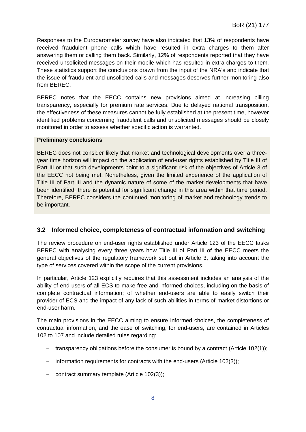Responses to the Eurobarometer survey have also indicated that 13% of respondents have received fraudulent phone calls which have resulted in extra charges to them after answering them or calling them back. Similarly, 12% of respondents reported that they have received unsolicited messages on their mobile which has resulted in extra charges to them. These statistics support the conclusions drawn from the input of the NRA's and indicate that the issue of fraudulent and unsolicited calls and messages deserves further monitoring also from BEREC.

BEREC notes that the EECC contains new provisions aimed at increasing billing transparency, especially for premium rate services. Due to delayed national transposition, the effectiveness of these measures cannot be fully established at the present time, however identified problems concerning fraudulent calls and unsolicited messages should be closely monitored in order to assess whether specific action is warranted.

#### **Preliminary conclusions**

BEREC does not consider likely that market and technological developments over a threeyear time horizon will impact on the application of end-user rights established by Title III of Part III or that such developments point to a significant risk of the objectives of Article 3 of the EECC not being met. Nonetheless, given the limited experience of the application of Title III of Part III and the dynamic nature of some of the market developments that have been identified, there is potential for significant change in this area within that time period. Therefore, BEREC considers the continued monitoring of market and technology trends to be important.

## <span id="page-8-0"></span>**3.2 Informed choice, completeness of contractual information and switching**

The review procedure on end-user rights established under Article 123 of the EECC tasks BEREC with analysing every three years how Title III of Part III of the EECC meets the general objectives of the regulatory framework set out in Article 3, taking into account the type of services covered within the scope of the current provisions.

In particular, Article 123 explicitly requires that this assessment includes an analysis of the ability of end-users of all ECS to make free and informed choices, including on the basis of complete contractual information; of whether end-users are able to easily switch their provider of ECS and the impact of any lack of such abilities in terms of market distortions or end-user harm.

The main provisions in the EECC aiming to ensure informed choices, the completeness of contractual information, and the ease of switching, for end-users, are contained in Articles 102 to 107 and include detailed rules regarding:

- − transparency obligations before the consumer is bound by a contract (Article 102(1));
- − information requirements for contracts with the end-users (Article 102(3));
- − contract summary template (Article 102(3));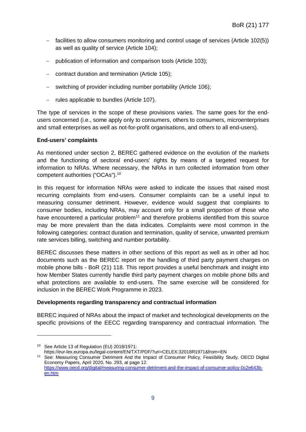- − facilities to allow consumers monitoring and control usage of services (Article 102(5)) as well as quality of service (Article 104);
- − publication of information and comparison tools (Article 103);
- − contract duration and termination (Article 105);
- − switching of provider including number portability (Article 106);
- − rules applicable to bundles (Article 107).

The type of services in the scope of these provisions varies. The same goes for the endusers concerned (i.e., some apply only to consumers, others to consumers, microenterprises and small enterprises as well as not-for-profit organisations, and others to all end-users).

#### **End-users' complaints**

As mentioned under section 2, BEREC gathered evidence on the evolution of the markets and the functioning of sectoral end-users' rights by means of a targeted request for information to NRAs. Where necessary, the NRAs in turn collected information from other competent authorities ("OCAs"). [10](#page-9-0)

In this request for information NRAs were asked to indicate the issues that raised most recurring complaints from end-users. Consumer complaints can be a useful input to measuring consumer detriment. However, evidence would suggest that complaints to consumer bodies, including NRAs, may account only for a small proportion of those who have encountered a particular problem<sup>11</sup> and therefore problems identified from this source may be more prevalent than the data indicates. Complaints were most common in the following categories: contract duration and termination, quality of service, unwanted premium rate services billing, switching and number portability.

BEREC discusses these matters in other sections of this report as well as in other ad hoc documents such as the BEREC report on the handling of third party payment charges on mobile phone bills - BoR (21) 118. This report provides a useful benchmark and insight into how Member States currently handle third party payment charges on mobile phone bills and what protections are available to end-users. The same exercise will be considered for inclusion in the BEREC Work Programme in 2023.

#### **Developments regarding transparency and contractual information**

BEREC inquired of NRAs about the impact of market and technological developments on the specific provisions of the EECC regarding transparency and contractual information. The

-

<span id="page-9-1"></span>https://eur-lex.europa.eu/legal-content/EN/TXT/PDF/?uri=CELEX:32018R1971&from=EN <sup>11</sup> See: Measuring Consumer Detriment And the Impact of Consumer Policy, Feasibility Study, OECD Digital Economy Papers, April 2020, No. 293, at page 12.

<span id="page-9-0"></span><sup>10</sup> See Article 13 of Regulation (EU) 2018/1971:

[https://www.oecd.org/digital/measuring-consumer-detriment-and-the-impact-of-consumer-policy-0c2e643b](https://www.oecd.org/digital/measuring-consumer-detriment-and-the-impact-of-consumer-policy-0c2e643b-en.htm)[en.htm](https://www.oecd.org/digital/measuring-consumer-detriment-and-the-impact-of-consumer-policy-0c2e643b-en.htm)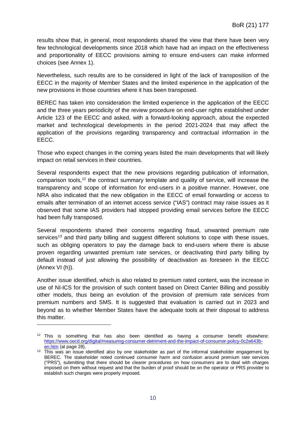results show that, in general, most respondents shared the view that there have been very few technological developments since 2018 which have had an impact on the effectiveness and proportionality of EECC provisions aiming to ensure end-users can make informed choices (see Annex 1).

Nevertheless, such results are to be considered in light of the lack of transposition of the EECC in the majority of Member States and the limited experience in the application of the new provisions in those countries where it has been transposed.

BEREC has taken into consideration the limited experience in the application of the EECC and the three years periodicity of the review procedure on end-user rights established under Article 123 of the EECC and asked, with a forward-looking approach, about the expected market and technological developments in the period 2021-2024 that may affect the application of the provisions regarding transparency and contractual information in the EECC.

Those who expect changes in the coming years listed the main developments that will likely impact on retail services in their countries.

Several respondents expect that the new provisions regarding publication of information, comparison tools, [12](#page-10-0) the contract summary template and quality of service, will increase the transparency and scope of information for end-users in a positive manner. However, one NRA also indicated that the new obligation in the EECC of email forwarding or access to emails after termination of an internet access service ("IAS") contract may raise issues as it observed that some IAS providers had stopped providing email services before the EECC had been fully transposed.

Several respondents shared their concerns regarding fraud, unwanted premium rate services<sup>[13](#page-10-1)</sup> and third party billing and suggest different solutions to cope with these issues, such as obliging operators to pay the damage back to end-users where there is abuse proven regarding unwanted premium rate services, or deactivating third party billing by default instead of just allowing the possibility of deactivation as foreseen in the EECC (Annex VI (h)).

Another issue identified, which is also related to premium rated content, was the increase in use of NI-ICS for the provision of such content based on Direct Carrier Billing and possibly other models, thus being an evolution of the provision of premium rate services from premium numbers and SMS. It is suggested that evaluation is carried out in 2023 and beyond as to whether Member States have the adequate tools at their disposal to address this matter.

<span id="page-10-0"></span> $12$  This is something that has also been identified as having a consumer benefit elsewhere: https://www.oecd.org/digital/measuring-consumer-detriment-and-the-impact-of-consumer-policy-0c2e643b-<br>en.htm (at page 28).

<span id="page-10-1"></span><sup>&</sup>lt;sup>13</sup> This was an issue identified also by one stakeholder as part of the informal stakeholder engagement by BEREC. The stakeholder noted continued consumer harm and confusion around premium rate services ("PRS"), submitting that there should be clearer procedures on how consumers are to deal with charges imposed on them without request and that the burden of proof should be on the operator or PRS provider to establish such charges were properly imposed.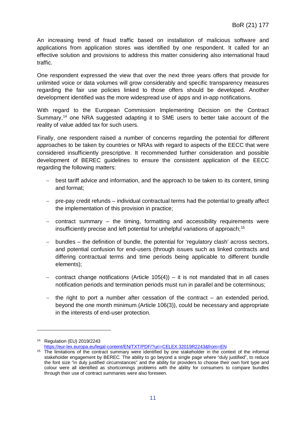An increasing trend of fraud traffic based on installation of malicious software and applications from application stores was identified by one respondent. It called for an effective solution and provisions to address this matter considering also international fraud traffic.

One respondent expressed the view that over the next three years offers that provide for unlimited voice or data volumes will grow considerably and specific transparency measures regarding the fair use policies linked to those offers should be developed. Another development identified was the more widespread use of apps and in-app notifications.

With regard to the European Commission Implementing Decision on the Contract Summary,<sup>[14](#page-11-0)</sup> one NRA suggested adapting it to SME users to better take account of the reality of value added tax for such users.

Finally, one respondent raised a number of concerns regarding the potential for different approaches to be taken by countries or NRAs with regard to aspects of the EECC that were considered insufficiently prescriptive. It recommended further consideration and possible development of BEREC guidelines to ensure the consistent application of the EECC regarding the following matters:

- − best tariff advice and information, and the approach to be taken to its content, timing and format;
- − pre-pay credit refunds individual contractual terms had the potential to greatly affect the implementation of this provision in practice;
- − contract summary the timing, formatting and accessibility requirements were insufficiently precise and left potential for unhelpful variations of approach;<sup>[15](#page-11-1)</sup>
- − bundles the definition of bundle, the potential for 'regulatory clash' across sectors, and potential confusion for end-users (through issues such as linked contracts and differing contractual terms and time periods being applicable to different bundle elements);
- − contract change notifications (Article 105(4)) it is not mandated that in all cases notification periods and termination periods must run in parallel and be coterminous;
- − the right to port a number after cessation of the contract an extended period, beyond the one month minimum (Article 106(3)), could be necessary and appropriate in the interests of end-user protection.

<span id="page-11-0"></span><sup>14</sup> Regulation (EU) 2019/2243

<https://eur-lex.europa.eu/legal-content/EN/TXT/PDF/?uri=CELEX:32019R2243&from=EN>

<span id="page-11-1"></span><sup>&</sup>lt;sup>15</sup> The limitations of the contract summary were identified by one stakeholder in the context of the informal stakeholder engagement by BEREC. The ability to go beyond a single page where "duly justified", to reduce the font size "in duly justified circumstances" and the ability for providers to choose their own font type and colour were all identified as shortcomings problems with the ability for consumers to compare bundles through their use of contract summaries were also foreseen.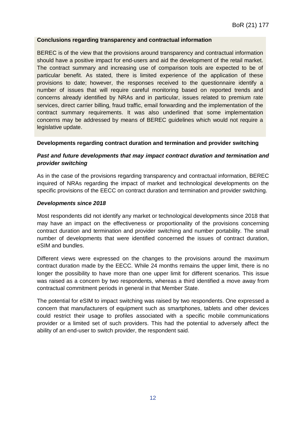#### **Conclusions regarding transparency and contractual information**

BEREC is of the view that the provisions around transparency and contractual information should have a positive impact for end-users and aid the development of the retail market. The contract summary and increasing use of comparison tools are expected to be of particular benefit. As stated, there is limited experience of the application of these provisions to date; however, the responses received to the questionnaire identify a number of issues that will require careful monitoring based on reported trends and concerns already identified by NRAs and in particular, issues related to premium rate services, direct carrier billing, fraud traffic, email forwarding and the implementation of the contract summary requirements. It was also underlined that some implementation concerns may be addressed by means of BEREC guidelines which would not require a legislative update.

#### **Developments regarding contract duration and termination and provider switching**

### *Past and future developments that may impact contract duration and termination and provider switching*

As in the case of the provisions regarding transparency and contractual information, BEREC inquired of NRAs regarding the impact of market and technological developments on the specific provisions of the EECC on contract duration and termination and provider switching.

#### *Developments since 2018*

Most respondents did not identify any market or technological developments since 2018 that may have an impact on the effectiveness or proportionality of the provisions concerning contract duration and termination and provider switching and number portability. The small number of developments that were identified concerned the issues of contract duration, eSIM and bundles.

Different views were expressed on the changes to the provisions around the maximum contract duration made by the EECC. While 24 months remains the upper limit, there is no longer the possibility to have more than one upper limit for different scenarios. This issue was raised as a concern by two respondents, whereas a third identified a move away from contractual commitment periods in general in that Member State.

The potential for eSIM to impact switching was raised by two respondents. One expressed a concern that manufacturers of equipment such as smartphones, tablets and other devices could restrict their usage to profiles associated with a specific mobile communications provider or a limited set of such providers. This had the potential to adversely affect the ability of an end-user to switch provider, the respondent said.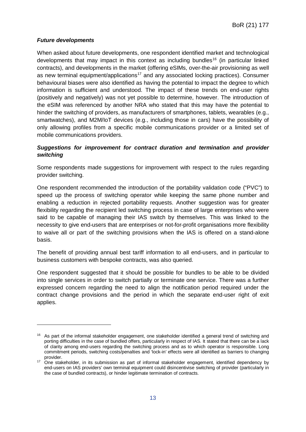## *Future developments*

-

When asked about future developments, one respondent identified market and technological developments that may impact in this context as including bundles<sup>[16](#page-13-0)</sup> (in particular linked contracts), and developments in the market (offering eSIMs, over-the-air provisioning as well as new terminal equipment/applications<sup>[17](#page-13-1)</sup> and any associated locking practices). Consumer behavioural biases were also identified as having the potential to impact the degree to which information is sufficient and understood. The impact of these trends on end-user rights (positively and negatively) was not yet possible to determine, however. The introduction of the eSIM was referenced by another NRA who stated that this may have the potential to hinder the switching of providers, as manufacturers of smartphones, tablets, wearables (e.g., smartwatches), and M2M/IoT devices (e.g., including those in cars) have the possibility of only allowing profiles from a specific mobile communications provider or a limited set of mobile communications providers.

### *Suggestions for improvement for contract duration and termination and provider switching*

Some respondents made suggestions for improvement with respect to the rules regarding provider switching.

One respondent recommended the introduction of the portability validation code ("PVC") to speed up the process of switching operator while keeping the same phone number and enabling a reduction in rejected portability requests. Another suggestion was for greater flexibility regarding the recipient led switching process in case of large enterprises who were said to be capable of managing their IAS switch by themselves. This was linked to the necessity to give end-users that are enterprises or not-for-profit organisations more flexibility to waive all or part of the switching provisions when the IAS is offered on a stand-alone basis.

The benefit of providing annual best tariff information to all end-users, and in particular to business customers with bespoke contracts, was also queried.

One respondent suggested that it should be possible for bundles to be able to be divided into single services in order to switch partially or terminate one service. There was a further expressed concern regarding the need to align the notification period required under the contract change provisions and the period in which the separate end-user right of exit applies.

<span id="page-13-0"></span><sup>&</sup>lt;sup>16</sup> As part of the informal stakeholder engagement, one stakeholder identified a general trend of switching and porting difficulties in the case of bundled offers, particularly in respect of IAS. It stated that there can be a lack of clarity among end-users regarding the switching process and as to which operator is responsible. Long commitment periods, switching costs/penalties and 'lock-in' effects were all identified as barriers to changing provider.

<span id="page-13-1"></span><sup>&</sup>lt;sup>17</sup> One stakeholder, in its submission as part of informal stakeholder engagement, identified dependency by end-users on IAS providers' own terminal equipment could disincentivise switching of provider (particularly in the case of bundled contracts), or hinder legitimate termination of contracts.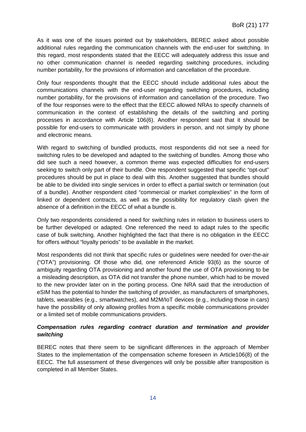As it was one of the issues pointed out by stakeholders, BEREC asked about possible additional rules regarding the communication channels with the end-user for switching. In this regard, most respondents stated that the EECC will adequately address this issue and no other communication channel is needed regarding switching procedures, including number portability, for the provisions of information and cancellation of the procedure.

Only four respondents thought that the EECC should include additional rules about the communications channels with the end-user regarding switching procedures, including number portability, for the provisions of information and cancellation of the procedure. Two of the four responses were to the effect that the EECC allowed NRAs to specify channels of communication in the context of establishing the details of the switching and porting processes in accordance with Article 106(6). Another respondent said that it should be possible for end-users to communicate with providers in person, and not simply by phone and electronic means.

With regard to switching of bundled products, most respondents did not see a need for switching rules to be developed and adapted to the switching of bundles. Among those who did see such a need however, a common theme was expected difficulties for end-users seeking to switch only part of their bundle. One respondent suggested that specific "opt-out" procedures should be put in place to deal with this. Another suggested that bundles should be able to be divided into single services in order to effect a partial switch or termination (out of a bundle). Another respondent cited "commercial or market complexities" in the form of linked or dependent contracts, as well as the possibility for regulatory clash given the absence of a definition in the EECC of what a bundle is.

Only two respondents considered a need for switching rules in relation to business users to be further developed or adapted. One referenced the need to adapt rules to the specific case of bulk switching. Another highlighted the fact that there is no obligation in the EECC for offers without "loyalty periods" to be available in the market.

Most respondents did not think that specific rules or guidelines were needed for over-the-air ("OTA") provisioning. Of those who did, one referenced Article 93(6) as the source of ambiguity regarding OTA provisioning and another found the use of OTA provisioning to be a misleading description, as OTA did not transfer the phone number, which had to be moved to the new provider later on in the porting process. One NRA said that the introduction of eSIM has the potential to hinder the switching of provider, as manufacturers of smartphones, tablets, wearables (e.g., smartwatches), and M2M/IoT devices (e.g., including those in cars) have the possibility of only allowing profiles from a specific mobile communications provider or a limited set of mobile communications providers.

## *Compensation rules regarding contract duration and termination and provider switching*

BEREC notes that there seem to be significant differences in the approach of Member States to the implementation of the compensation scheme foreseen in Article106(8) of the EECC. The full assessment of these divergences will only be possible after transposition is completed in all Member States.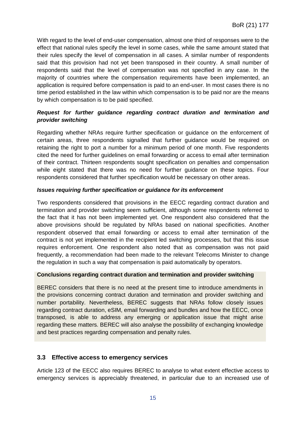With regard to the level of end-user compensation, almost one third of responses were to the effect that national rules specify the level in some cases, while the same amount stated that their rules specify the level of compensation in all cases. A similar number of respondents said that this provision had not yet been transposed in their country. A small number of respondents said that the level of compensation was not specified in any case. In the majority of countries where the compensation requirements have been implemented, an application is required before compensation is paid to an end-user. In most cases there is no time period established in the law within which compensation is to be paid nor are the means by which compensation is to be paid specified.

## *Request for further guidance regarding contract duration and termination and provider switching*

Regarding whether NRAs require further specification or guidance on the enforcement of certain areas, three respondents signalled that further guidance would be required on retaining the right to port a number for a minimum period of one month. Five respondents cited the need for further guidelines on email forwarding or access to email after termination of their contract. Thirteen respondents sought specification on penalties and compensation while eight stated that there was no need for further guidance on these topics. Four respondents considered that further specification would be necessary on other areas.

### *Issues requiring further specification or guidance for its enforcement*

Two respondents considered that provisions in the EECC regarding contract duration and termination and provider switching seem sufficient, although some respondents referred to the fact that it has not been implemented yet. One respondent also considered that the above provisions should be regulated by NRAs based on national specificities. Another respondent observed that email forwarding or access to email after termination of the contract is not yet implemented in the recipient led switching processes, but that this issue requires enforcement. One respondent also noted that as compensation was not paid frequently, a recommendation had been made to the relevant Telecoms Minister to change the regulation in such a way that compensation is paid automatically by operators.

#### **Conclusions regarding contract duration and termination and provider switching**

BEREC considers that there is no need at the present time to introduce amendments in the provisions concerning contract duration and termination and provider switching and number portability. Nevertheless, BEREC suggests that NRAs follow closely issues regarding contract duration, eSIM, email forwarding and bundles and how the EECC, once transposed, is able to address any emerging or application issue that might arise regarding these matters. BEREC will also analyse the possibility of exchanging knowledge and best practices regarding compensation and penalty rules.

## <span id="page-15-0"></span>**3.3 Effective access to emergency services**

Article 123 of the EECC also requires BEREC to analyse to what extent effective access to emergency services is appreciably threatened, in particular due to an increased use of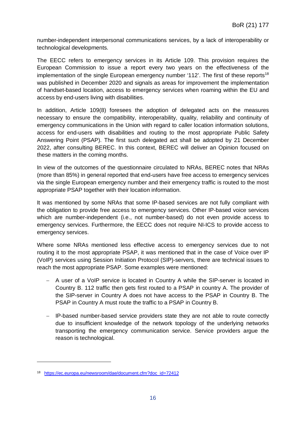number-independent interpersonal communications services, by a lack of interoperability or technological developments.

The EECC refers to emergency services in its Article 109. This provision requires the European Commission to issue a report every two years on the effectiveness of the implementation of the single European emergency number '112'. The first of these reports<sup>[18](#page-16-0)</sup> was published in December 2020 and signals as areas for improvement the implementation of handset-based location, access to emergency services when roaming within the EU and access by end-users living with disabilities.

In addition, Article 109(8) foresees the adoption of delegated acts on the measures necessary to ensure the compatibility, interoperability, quality, reliability and continuity of emergency communications in the Union with regard to caller location information solutions, access for end-users with disabilities and routing to the most appropriate Public Safety Answering Point (PSAP). The first such delegated act shall be adopted by 21 December 2022, after consulting BEREC. In this context, BEREC will deliver an Opinion focused on these matters in the coming months.

In view of the outcomes of the questionnaire circulated to NRAs, BEREC notes that NRAs (more than 85%) in general reported that end-users have free access to emergency services via the single European emergency number and their emergency traffic is routed to the most appropriate PSAP together with their location information.

It was mentioned by some NRAs that some IP-based services are not fully compliant with the obligation to provide free access to emergency services. Other IP-based voice services which are number-independent (i.e., not number-based) do not even provide access to emergency services. Furthermore, the EECC does not require NI-ICS to provide access to emergency services.

Where some NRAs mentioned less effective access to emergency services due to not routing it to the most appropriate PSAP, it was mentioned that in the case of Voice over IP (VoIP) services using Session Initiation Protocol (SIP)-servers, there are technical issues to reach the most appropriate PSAP. Some examples were mentioned:

- − A user of a VoIP service is located in Country A while the SIP-server is located in Country B. 112 traffic then gets first routed to a PSAP in country A. The provider of the SIP-server in Country A does not have access to the PSAP in Country B. The PSAP in Country A must route the traffic to a PSAP in Country B.
- − IP-based number-based service providers state they are not able to route correctly due to insufficient knowledge of the network topology of the underlying networks transporting the emergency communication service. Service providers argue the reason is technological.

<span id="page-16-0"></span><sup>18</sup> [https://ec.europa.eu/newsroom/dae/document.cfm?doc\\_id=72412](https://ec.europa.eu/newsroom/dae/document.cfm?doc_id=72412)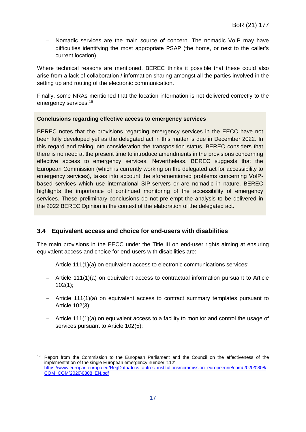− Nomadic services are the main source of concern. The nomadic VoIP may have difficulties identifying the most appropriate PSAP (the home, or next to the caller's current location).

Where technical reasons are mentioned, BEREC thinks it possible that these could also arise from a lack of collaboration / information sharing amongst all the parties involved in the setting up and routing of the electronic communication.

Finally, some NRAs mentioned that the location information is not delivered correctly to the emergency services.[19](#page-17-1)

### **Conclusions regarding effective access to emergency services**

BEREC notes that the provisions regarding emergency services in the EECC have not been fully developed yet as the delegated act in this matter is due in December 2022. In this regard and taking into consideration the transposition status, BEREC considers that there is no need at the present time to introduce amendments in the provisions concerning effective access to emergency services. Nevertheless, BEREC suggests that the European Commission (which is currently working on the delegated act for accessibility to emergency services), takes into account the aforementioned problems concerning VoIPbased services which use international SIP-servers or are nomadic in nature. BEREC highlights the importance of continued monitoring of the accessibility of emergency services. These preliminary conclusions do not pre-empt the analysis to be delivered in the 2022 BEREC Opinion in the context of the elaboration of the delegated act.

## <span id="page-17-0"></span>**3.4 Equivalent access and choice for end-users with disabilities**

-

The main provisions in the EECC under the Title III on end-user rights aiming at ensuring equivalent access and choice for end-users with disabilities are:

- − Article 111(1)(a) on equivalent access to electronic communications services;
- − Article 111(1)(a) on equivalent access to contractual information pursuant to Article 102(1);
- − Article 111(1)(a) on equivalent access to contract summary templates pursuant to Article 102(3);
- − Article 111(1)(a) on equivalent access to a facility to monitor and control the usage of services pursuant to Article 102(5);

<span id="page-17-1"></span><sup>&</sup>lt;sup>19</sup> Report from the Commission to the European Parliament and the Council on the effectiveness of the implementation of the single European emergency number '112' [https://www.europarl.europa.eu/RegData/docs\\_autres\\_institutions/commission\\_europeenne/com/2020/0808/](https://www.europarl.europa.eu/RegData/docs_autres_institutions/commission_europeenne/com/2020/0808/COM_COM(2020)0808_EN.pdf) [COM\\_COM\(2020\)0808\\_EN.pdf](https://www.europarl.europa.eu/RegData/docs_autres_institutions/commission_europeenne/com/2020/0808/COM_COM(2020)0808_EN.pdf)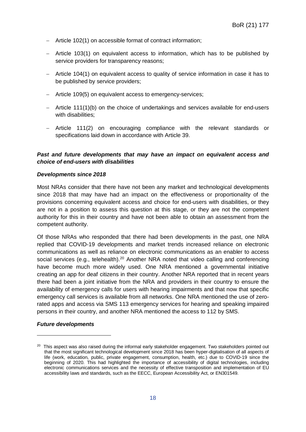- − Article 102(1) on accessible format of contract information;
- − Article 103(1) on equivalent access to information, which has to be published by service providers for transparency reasons;
- − Article 104(1) on equivalent access to quality of service information in case it has to be published by service providers;
- − Article 109(5) on equivalent access to emergency-services;
- − Article 111(1)(b) on the choice of undertakings and services available for end-users with disabilities:
- − Article 111(2) on encouraging compliance with the relevant standards or specifications laid down in accordance with Article 39.

#### *Past and future developments that may have an impact on equivalent access and choice of end-users with disabilities*

#### *Developments since 2018*

Most NRAs consider that there have not been any market and technological developments since 2018 that may have had an impact on the effectiveness or proportionality of the provisions concerning equivalent access and choice for end-users with disabilities, or they are not in a position to assess this question at this stage, or they are not the competent authority for this in their country and have not been able to obtain an assessment from the competent authority.

Of those NRAs who responded that there had been developments in the past, one NRA replied that COVID-19 developments and market trends increased reliance on electronic communications as well as reliance on electronic communications as an enabler to access social services (e.g., telehealth).<sup>[20](#page-18-0)</sup> Another NRA noted that video calling and conferencing have become much more widely used. One NRA mentioned a governmental initiative creating an app for deaf citizens in their country. Another NRA reported that in recent years there had been a joint initiative from the NRA and providers in their country to ensure the availability of emergency calls for users with hearing impairments and that now that specific emergency call services is available from all networks. One NRA mentioned the use of zerorated apps and access via SMS 113 emergency services for hearing and speaking impaired persons in their country, and another NRA mentioned the access to 112 by SMS.

#### *Future developments*

<span id="page-18-0"></span><sup>&</sup>lt;sup>20</sup> This aspect was also raised during the informal early stakeholder engagement. Two stakeholders pointed out that the most significant technological development since 2018 has been hyper-digitalisation of all aspects of life (work, education, public, private engagement, consumption, health, etc.) due to COVID-19 since the beginning of 2020. This had highlighted the importance of accessibility of digital technologies, including electronic communications services and the necessity of effective transposition and implementation of EU accessibility laws and standards, such as the EECC, European Accessibility Act, or EN301549.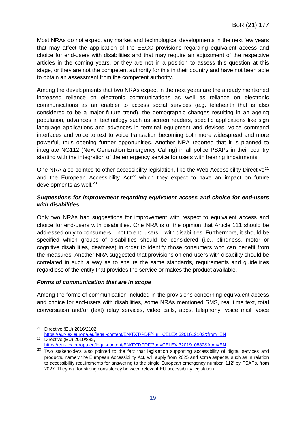Most NRAs do not expect any market and technological developments in the next few years that may affect the application of the EECC provisions regarding equivalent access and choice for end-users with disabilities and that may require an adjustment of the respective articles in the coming years, or they are not in a position to assess this question at this stage, or they are not the competent authority for this in their country and have not been able to obtain an assessment from the competent authority.

Among the developments that two NRAs expect in the next years are the already mentioned increased reliance on electronic communications as well as reliance on electronic communications as an enabler to access social services (e.g. telehealth that is also considered to be a major future trend), the demographic changes resulting in an ageing population, advances in technology such as screen readers, specific applications like sign language applications and advances in terminal equipment and devices, voice command interfaces and voice to text to voice translation becoming both more widespread and more powerful, thus opening further opportunities. Another NRA reported that it is planned to integrate NG112 (Next Generation Emergency Calling) in all police PSAPs in their country starting with the integration of the emergency service for users with hearing impairments.

One NRA also pointed to other accessibility legislation, like the Web Accessibility Directive<sup>[21](#page-19-0)</sup> and the European Accessibility Act<sup>22</sup> which they expect to have an impact on future developments as well.<sup>[23](#page-19-2)</sup>

#### *Suggestions for improvement regarding equivalent access and choice for end-users with disabilities*

Only two NRAs had suggestions for improvement with respect to equivalent access and choice for end-users with disabilities. One NRA is of the opinion that Article 111 should be addressed only to consumers – not to end-users – with disabilities. Furthermore, it should be specified which groups of disabilities should be considered (i.e., blindness, motor or cognitive disabilities, deafness) in order to identify those consumers who can benefit from the measures. Another NRA suggested that provisions on end-users with disability should be correlated in such a way as to ensure the same standards, requirements and guidelines regardless of the entity that provides the service or makes the product available.

#### *Forms of communication that are in scope*

-

Among the forms of communication included in the provisions concerning equivalent access and choice for end-users with disabilities, some NRAs mentioned SMS, real time text, total conversation and/or (text) relay services, video calls, apps, telephony, voice mail, voice

<span id="page-19-0"></span><sup>21</sup> Directive (EU) 2016/2102, <https://eur-lex.europa.eu/legal-content/EN/TXT/PDF/?uri=CELEX:32016L2102&from=EN> <sup>22</sup> Directive (EU) 2019/882,

<https://eur-lex.europa.eu/legal-content/EN/TXT/PDF/?uri=CELEX:32019L0882&from=EN>

<span id="page-19-2"></span><span id="page-19-1"></span><sup>&</sup>lt;sup>23</sup> Two stakeholders also pointed to the fact that legislation supporting accessibility of digital services and products, namely the European Accessibility Act, will apply from 2025 and some aspects, such as in relation to accessibility requirements for answering to the single European emergency number '112' by PSAPs, from 2027. They call for strong consistency between relevant EU accessibility legislation.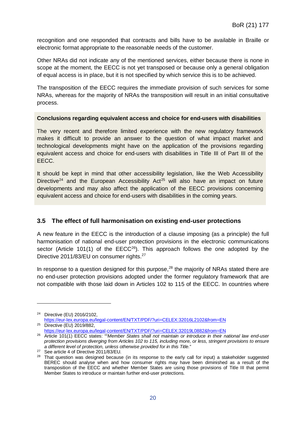recognition and one responded that contracts and bills have to be available in Braille or electronic format appropriate to the reasonable needs of the customer.

Other NRAs did not indicate any of the mentioned services, either because there is none in scope at the moment, the EECC is not yet transposed or because only a general obligation of equal access is in place, but it is not specified by which service this is to be achieved.

The transposition of the EECC requires the immediate provision of such services for some NRAs, whereas for the majority of NRAs the transposition will result in an initial consultative process.

#### **Conclusions regarding equivalent access and choice for end-users with disabilities**

The very recent and therefore limited experience with the new regulatory framework makes it difficult to provide an answer to the question of what impact market and technological developments might have on the application of the provisions regarding equivalent access and choice for end-users with disabilities in Title III of Part III of the EECC.

It should be kept in mind that other accessibility legislation, like the Web Accessibility Directive<sup>[24](#page-20-1)</sup> and the European Accessibility Act<sup>[25](#page-20-2)</sup> will also have an impact on future developments and may also affect the application of the EECC provisions concerning equivalent access and choice for end-users with disabilities in the coming years.

## <span id="page-20-0"></span>**3.5 The effect of full harmonisation on existing end-user protections**

A new feature in the EECC is the introduction of a clause imposing (as a principle) the full harmonisation of national end-user protection provisions in the electronic communications sector (Article 101(1) of the  $EECC^{26}$ ). This approach follows the one adopted by the Directive 2011/83/EU on consumer rights.<sup>[27](#page-20-4)</sup>

In response to a question designed for this purpose,<sup>[28](#page-20-5)</sup> the majority of NRAs stated there are no end-user protection provisions adopted under the former regulatory framework that are not compatible with those laid down in Articles 102 to 115 of the EECC. In countries where

<span id="page-20-1"></span><sup>24</sup> Directive (EU) 2016/2102, <https://eur-lex.europa.eu/legal-content/EN/TXT/PDF/?uri=CELEX:32016L2102&from=EN> <sup>25</sup> Directive (EU) 2019/882,

<https://eur-lex.europa.eu/legal-content/EN/TXT/PDF/?uri=CELEX:32019L0882&from=EN>

<span id="page-20-3"></span><span id="page-20-2"></span><sup>26</sup> Article 101(1) EECC states: ""*Member States shall not maintain or introduce in their national law end-user protection provisions diverging from Articles 102 to 115, including more, or less, stringent provisions to ensure* 

<span id="page-20-5"></span>

<span id="page-20-4"></span>a different level of protection, unless otherwise provided for in this Title."<br><sup>27</sup> See article 4 of Directive 2011/83/EU.<br><sup>28</sup> That question was designed because (in its response to the early call for input) a stakeholder BEREC should analyse when and how consumer rights may have been diminished as a result of the transposition of the EECC and whether Member States are using those provisions of Title III that permit Member States to introduce or maintain further end-user protections.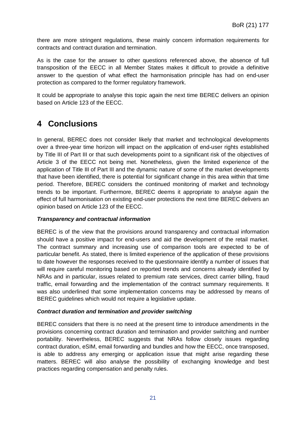there are more stringent regulations, these mainly concern information requirements for contracts and contract duration and termination.

As is the case for the answer to other questions referenced above, the absence of full transposition of the EECC in all Member States makes it difficult to provide a definitive answer to the question of what effect the harmonisation principle has had on end-user protection as compared to the former regulatory framework.

It could be appropriate to analyse this topic again the next time BEREC delivers an opinion based on Article 123 of the EECC.

## <span id="page-21-0"></span>**4 Conclusions**

In general, BEREC does not consider likely that market and technological developments over a three-year time horizon will impact on the application of end-user rights established by Title III of Part III or that such developments point to a significant risk of the objectives of Article 3 of the EECC not being met. Nonetheless, given the limited experience of the application of Title III of Part III and the dynamic nature of some of the market developments that have been identified, there is potential for significant change in this area within that time period. Therefore, BEREC considers the continued monitoring of market and technology trends to be important. Furthermore, BEREC deems it appropriate to analyse again the effect of full harmonisation on existing end-user protections the next time BEREC delivers an opinion based on Article 123 of the EECC.

## *Transparency and contractual information*

BEREC is of the view that the provisions around transparency and contractual information should have a positive impact for end-users and aid the development of the retail market. The contract summary and increasing use of comparison tools are expected to be of particular benefit. As stated, there is limited experience of the application of these provisions to date however the responses received to the questionnaire identify a number of issues that will require careful monitoring based on reported trends and concerns already identified by NRAs and in particular, issues related to premium rate services, direct carrier billing, fraud traffic, email forwarding and the implementation of the contract summary requirements. It was also underlined that some implementation concerns may be addressed by means of BEREC guidelines which would not require a legislative update.

#### *Contract duration and termination and provider switching*

BEREC considers that there is no need at the present time to introduce amendments in the provisions concerning contract duration and termination and provider switching and number portability. Nevertheless, BEREC suggests that NRAs follow closely issues regarding contract duration, eSIM, email forwarding and bundles and how the EECC, once transposed, is able to address any emerging or application issue that might arise regarding these matters. BEREC will also analyse the possibility of exchanging knowledge and best practices regarding compensation and penalty rules.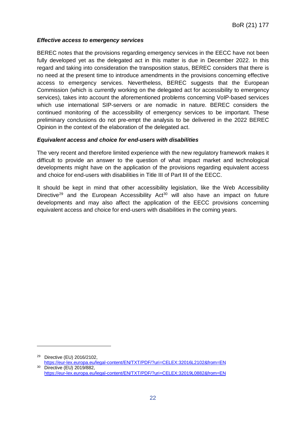## *Effective access to emergency services*

BEREC notes that the provisions regarding emergency services in the EECC have not been fully developed yet as the delegated act in this matter is due in December 2022. In this regard and taking into consideration the transposition status, BEREC considers that there is no need at the present time to introduce amendments in the provisions concerning effective access to emergency services. Nevertheless, BEREC suggests that the European Commission (which is currently working on the delegated act for accessibility to emergency services), takes into account the aforementioned problems concerning VoIP-based services which use international SIP-servers or are nomadic in nature. BEREC considers the continued monitoring of the accessibility of emergency services to be important. These preliminary conclusions do not pre-empt the analysis to be delivered in the 2022 BEREC Opinion in the context of the elaboration of the delegated act.

### *Equivalent access and choice for end-users with disabilities*

The very recent and therefore limited experience with the new regulatory framework makes it difficult to provide an answer to the question of what impact market and technological developments might have on the application of the provisions regarding equivalent access and choice for end-users with disabilities in Title III of Part III of the EECC.

It should be kept in mind that other accessibility legislation, like the Web Accessibility Directive<sup>[29](#page-22-0)</sup> and the European Accessibility Act<sup>[30](#page-22-1)</sup> will also have an impact on future developments and may also affect the application of the EECC provisions concerning equivalent access and choice for end-users with disabilities in the coming years.

<span id="page-22-0"></span><sup>29</sup> Directive (EU) 2016/2102,

<span id="page-22-1"></span><https://eur-lex.europa.eu/legal-content/EN/TXT/PDF/?uri=CELEX:32016L2102&from=EN> <sup>30</sup> Directive (EU) 2019/882,

<https://eur-lex.europa.eu/legal-content/EN/TXT/PDF/?uri=CELEX:32019L0882&from=EN>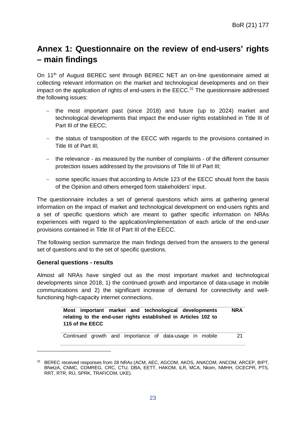## <span id="page-23-0"></span>**Annex 1: Questionnaire on the review of end-users' rights – main findings**

On 11<sup>th</sup> of August BEREC sent through BEREC NET an on-line questionnaire aimed at collecting relevant information on the market and technological developments and on their impact on the application of rights of end-users in the  $EECC<sup>31</sup>$  $EECC<sup>31</sup>$  $EECC<sup>31</sup>$  The questionnaire addressed the following issues:

- − the most important past (since 2018) and future (up to 2024) market and technological developments that impact the end-user rights established in Title III of Part III of the EECC;
- − the status of transposition of the EECC with regards to the provisions contained in Title III of Part III;
- − the relevance as measured by the number of complaints of the different consumer protection issues addressed by the provisions of Title III of Part III;
- − some specific issues that according to Article 123 of the EECC should form the basis of the Opinion and others emerged form stakeholders' input.

The questionnaire includes a set of general questions which aims at gathering general information on the impact of market and technological development on end-users rights and a set of specific questions which are meant to gather specific information on NRAs experiences with regard to the application/implementation of each article of the end-user provisions contained in Title III of Part III of the EECC.

The following section summarize the main findings derived from the answers to the general set of questions and to the set of specific questions.

#### **General questions - results**

-

Almost all NRAs have singled out as the most important market and technological developments since 2018, 1) the continued growth and importance of data-usage in mobile communications and 2) the significant increase of demand for connectivity and wellfunctioning high-capacity internet connections.

|                                                                |  |  |  |  | Most important market and technological developments | <b>NRA</b> |  |  |  |
|----------------------------------------------------------------|--|--|--|--|------------------------------------------------------|------------|--|--|--|
| relating to the end-user rights established in Articles 102 to |  |  |  |  |                                                      |            |  |  |  |
| 115 of the EECC                                                |  |  |  |  |                                                      |            |  |  |  |
|                                                                |  |  |  |  |                                                      |            |  |  |  |

|  |  |  | Continued growth and importance of data-usage in mobile |  |  |  |  | 21 |
|--|--|--|---------------------------------------------------------|--|--|--|--|----|
|--|--|--|---------------------------------------------------------|--|--|--|--|----|

<span id="page-23-1"></span><sup>&</sup>lt;sup>31</sup> BEREC received responses from 28 NRAs (ACM, AEC, AGCOM, AKOS, ANACOM, ANCOM, ARCEP, BIPT, BNetzA, CNMC, COMREG, CRC, CTU, DBA, EETT, HAKOM, ILR, MCA, Nkom, NMHH, OCECPR, PTS, RRT, RTR, RÚ, SPRK, TRAFICOM, UKE).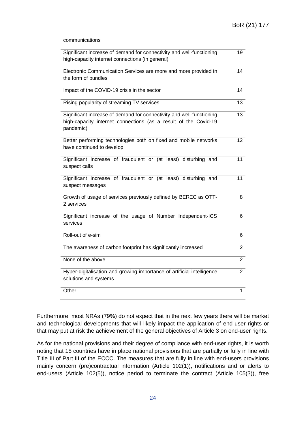| communications                                                                                                                                       |                |
|------------------------------------------------------------------------------------------------------------------------------------------------------|----------------|
| Significant increase of demand for connectivity and well-functioning<br>high-capacity internet connections (in general)                              | 19             |
| Electronic Communication Services are more and more provided in<br>the form of bundles                                                               | 14             |
| Impact of the COVID-19 crisis in the sector                                                                                                          | 14             |
| Rising popularity of streaming TV services                                                                                                           | 13             |
| Significant increase of demand for connectivity and well-functioning<br>high-capacity internet connections (as a result of the Covid-19<br>pandemic) | 13             |
| Better performing technologies both on fixed and mobile networks<br>have continued to develop                                                        | 12             |
| Significant increase of fraudulent or (at least) disturbing and<br>suspect calls                                                                     | 11             |
| Significant increase of fraudulent or (at least) disturbing and<br>suspect messages                                                                  | 11             |
| Growth of usage of services previously defined by BEREC as OTT-<br>2 services                                                                        | 8              |
| Significant increase of the usage of Number Independent-ICS<br>services                                                                              | 6              |
| Roll-out of e-sim                                                                                                                                    | 6              |
| The awareness of carbon footprint has significantly increased                                                                                        | $\overline{2}$ |
| None of the above                                                                                                                                    | $\overline{2}$ |
| Hyper-digitalisation and growing importance of artificial intelligence<br>solutions and systems                                                      | 2              |
| Other                                                                                                                                                | 1              |
|                                                                                                                                                      |                |

Furthermore, most NRAs (79%) do not expect that in the next few years there will be market and technological developments that will likely impact the application of end-user rights or that may put at risk the achievement of the general objectives of Article 3 on end-user rights.

As for the national provisions and their degree of compliance with end-user rights, it is worth noting that 18 countries have in place national provisions that are partially or fully in line with Title III of Part III of the ECCC. The measures that are fully in line with end-users provisions mainly concern (pre)contractual information (Article 102(1)), notifications and or alerts to end-users (Article 102(5)), notice period to terminate the contract (Article 105(3)), free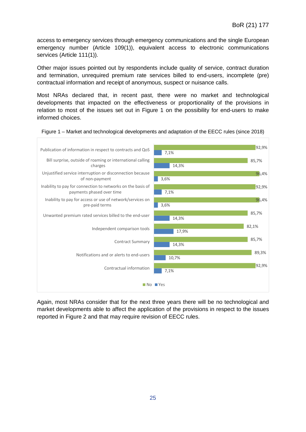access to emergency services through emergency communications and the single European emergency number (Article 109(1)), equivalent access to electronic communications services (Article 111(1)).

Other major issues pointed out by respondents include quality of service, contract duration and termination, unrequired premium rate services billed to end-users, incomplete (pre) contractual information and receipt of anonymous, suspect or nuisance calls.

Most NRAs declared that, in recent past, there were no market and technological developments that impacted on the effectiveness or proportionality of the provisions in relation to most of the issues set out in [Figure 1](#page-25-0) on the possibility for end-users to make informed choices.



<span id="page-25-0"></span>Figure 1 – Market and technological developments and adaptation of the EECC rules (since 2018)

Again, most NRAs consider that for the next three years there will be no technological and market developments able to affect the application of the provisions in respect to the issues reported in [Figure 2](#page-26-0) and that may require revision of EECC rules.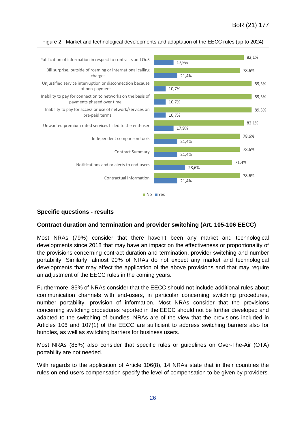

#### <span id="page-26-0"></span>Figure 2 - Market and technological developments and adaptation of the EECC rules (up to 2024)

#### **Specific questions - results**

#### **Contract duration and termination and provider switching (Art. 105-106 EECC)**

Most NRAs (79%) consider that there haven't been any market and technological developments since 2018 that may have an impact on the effectiveness or proportionality of the provisions concerning contract duration and termination, provider switching and number portability. Similarly, almost 90% of NRAs do not expect any market and technological developments that may affect the application of the above provisions and that may require an adjustment of the EECC rules in the coming years.

Furthermore, 85% of NRAs consider that the EECC should not include additional rules about communication channels with end-users, in particular concerning switching procedures, number portability, provision of information. Most NRAs consider that the provisions concerning switching procedures reported in the EECC should not be further developed and adapted to the switching of bundles. NRAs are of the view that the provisions included in Articles 106 and 107(1) of the EECC are sufficient to address switching barriers also for bundles, as well as switching barriers for business users.

Most NRAs (85%) also consider that specific rules or guidelines on Over-The-Air (OTA) portability are not needed.

With regards to the application of Article 106(8), 14 NRAs state that in their countries the rules on end-users compensation specify the level of compensation to be given by providers.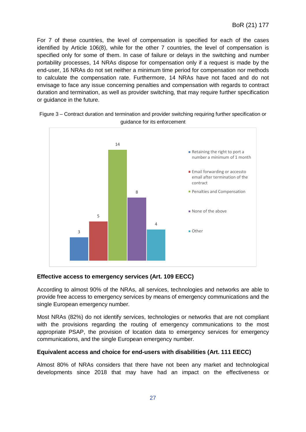For 7 of these countries, the level of compensation is specified for each of the cases identified by Article 106(8), while for the other 7 countries, the level of compensation is specified only for some of them. In case of failure or delays in the switching and number portability processes, 14 NRAs dispose for compensation only if a request is made by the end-user, 16 NRAs do not set neither a minimum time period for compensation nor methods to calculate the compensation rate. Furthermore, 14 NRAs have not faced and do not envisage to face any issue concerning penalties and compensation with regards to contract duration and termination, as well as provider switching, that may require further specification or guidance in the future.



Figure 3 – Contract duration and termination and provider switching requiring further specification or guidance for its enforcement

#### **Effective access to emergency services (Art. 109 EECC)**

According to almost 90% of the NRAs, all services, technologies and networks are able to provide free access to emergency services by means of emergency communications and the single European emergency number.

Most NRAs (82%) do not identify services, technologies or networks that are not compliant with the provisions regarding the routing of emergency communications to the most appropriate PSAP, the provision of location data to emergency services for emergency communications, and the single European emergency number.

#### **Equivalent access and choice for end-users with disabilities (Art. 111 EECC)**

Almost 80% of NRAs considers that there have not been any market and technological developments since 2018 that may have had an impact on the effectiveness or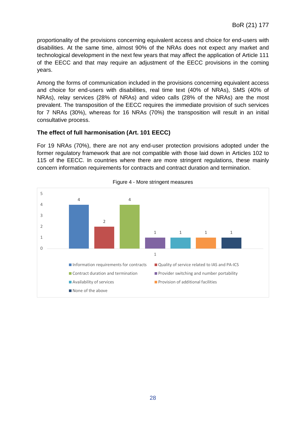proportionality of the provisions concerning equivalent access and choice for end-users with disabilities. At the same time, almost 90% of the NRAs does not expect any market and technological development in the next few years that may affect the application of Article 111 of the EECC and that may require an adjustment of the EECC provisions in the coming years.

Among the forms of communication included in the provisions concerning equivalent access and choice for end-users with disabilities, real time text (40% of NRAs), SMS (40% of NRAs), relay services (28% of NRAs) and video calls (28% of the NRAs) are the most prevalent. The transposition of the EECC requires the immediate provision of such services for 7 NRAs (30%), whereas for 16 NRAs (70%) the transposition will result in an initial consultative process.

#### **The effect of full harmonisation (Art. 101 EECC)**

For 19 NRAs (70%), there are not any end-user protection provisions adopted under the former regulatory framework that are not compatible with those laid down in Articles 102 to 115 of the EECC. In countries where there are more stringent regulations, these mainly concern information requirements for contracts and contract duration and termination.



Figure 4 - More stringent measures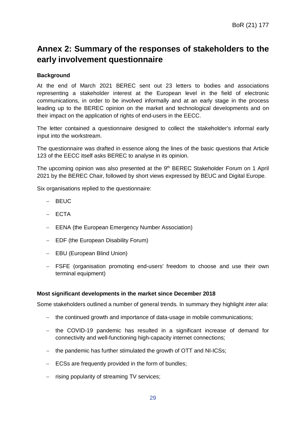## <span id="page-29-0"></span>**Annex 2: Summary of the responses of stakeholders to the early involvement questionnaire**

### **Background**

At the end of March 2021 BEREC sent out 23 letters to bodies and associations representing a stakeholder interest at the European level in the field of electronic communications, in order to be involved informally and at an early stage in the process leading up to the BEREC opinion on the market and technological developments and on their impact on the application of rights of end-users in the EECC.

The letter contained a questionnaire designed to collect the stakeholder's informal early input into the workstream.

The questionnaire was drafted in essence along the lines of the basic questions that Article 123 of the EECC itself asks BEREC to analyse in its opinion.

The upcoming opinion was also presented at the  $9<sup>th</sup>$  BEREC Stakeholder Forum on 1 April 2021 by the BEREC Chair, followed by short views expressed by BEUC and Digital Europe.

Six organisations replied to the questionnaire:

- − BEUC
- − ECTA
- − EENA (the European Emergency Number Association)
- − EDF (the European Disability Forum)
- − EBU (European Blind Union)
- − FSFE (organisation promoting end-users' freedom to choose and use their own terminal equipment)

#### **Most significant developments in the market since December 2018**

Some stakeholders outlined a number of general trends. In summary they highlight *inter alia*:

- − the continued growth and importance of data-usage in mobile communications;
- − the COVID-19 pandemic has resulted in a significant increase of demand for connectivity and well-functioning high-capacity internet connections;
- − the pandemic has further stimulated the growth of OTT and NI-ICSs;
- − ECSs are frequently provided in the form of bundles;
- − rising popularity of streaming TV services;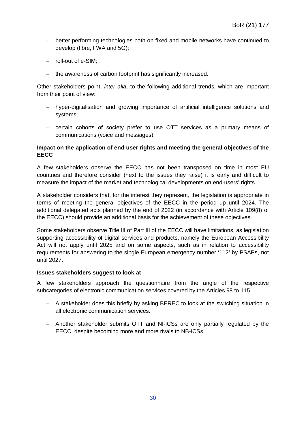- − better performing technologies both on fixed and mobile networks have continued to develop (fibre, FWA and 5G);
- − roll-out of e-SIM;
- − the awareness of carbon footprint has significantly increased.

Other stakeholders point, *inter alia*, to the following additional trends, which are important from their point of view:

- − hyper-digitalisation and growing importance of artificial intelligence solutions and systems;
- − certain cohorts of society prefer to use OTT services as a primary means of communications (voice and messages).

#### **Impact on the application of end-user rights and meeting the general objectives of the EECC**

A few stakeholders observe the EECC has not been transposed on time in most EU countries and therefore consider (next to the issues they raise) it is early and difficult to measure the impact of the market and technological developments on end-users' rights.

A stakeholder considers that, for the interest they represent, the legislation is appropriate in terms of meeting the general objectives of the EECC in the period up until 2024. The additional delegated acts planned by the end of 2022 (in accordance with Article 109(8) of the EECC) should provide an additional basis for the achievement of these objectives.

Some stakeholders observe Title III of Part III of the EECC will have limitations, as legislation supporting accessibility of digital services and products, namely the European Accessibility Act will not apply until 2025 and on some aspects, such as in relation to accessibility requirements for answering to the single European emergency number '112' by PSAPs, not until 2027.

#### **Issues stakeholders suggest to look at**

A few stakeholders approach the questionnaire from the angle of the respective subcategories of electronic communication services covered by the Articles 98 to 115.

- − A stakeholder does this briefly by asking BEREC to look at the switching situation in all electronic communication services.
- − Another stakeholder submits OTT and NI-ICSs are only partially regulated by the EECC, despite becoming more and more rivals to NB-ICSs.